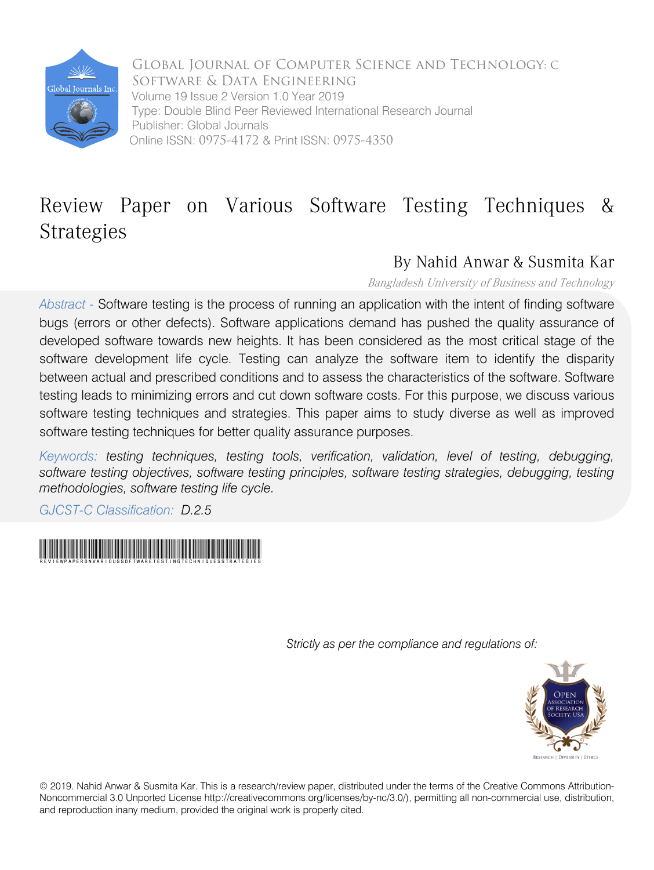

Global Journal of Computer Science and Technology: C Software & Data Engineering Volume 19 Issue 2 Version 1.0 Year 2019 Type: Double Blind Peer Reviewed International Research Journal Publisher: Global Journals Online ISSN: 0975-4172 & Print ISSN: 0975-4350

## Review Paper on Various Software Testing Techniques & Strategies

### By Nahid Anwar & Susmita Kar

Bangladesh University of Business and Technology

*Abstract -* Software testing is the process of running an application with the intent of finding software bugs (errors or other defects). Software applications demand has pushed the quality assurance of developed software towards new heights. It has been considered as the most critical stage of the software development life cycle. Testing can analyze the software item to identify the disparity between actual and prescribed conditions and to assess the characteristics of the software. Software testing leads to minimizing errors and cut down software costs. For this purpose, we discuss various software testing techniques and strategies. This paper aims to study diverse as well as improved software testing techniques for better quality assurance purposes.

*Keywords: testing techniques, testing tools, verification, validation, level of testing, debugging, software testing objectives, software testing principles, software testing strategies, debugging, testing methodologies, software testing life cycle.*

*GJCST-C Classification: D.2.5*



 *Strictly as per the compliance and regulations of:*



© 2019. Nahid Anwar & Susmita Kar. This is a research/review paper, distributed under the terms of the Creative Commons Attribution-Noncommercial 3.0 Unported License http://creativecommons.org/licenses/by-nc/3.0/), permitting all non-commercial use, distribution, and reproduction inany medium, provided the original work is properly cited.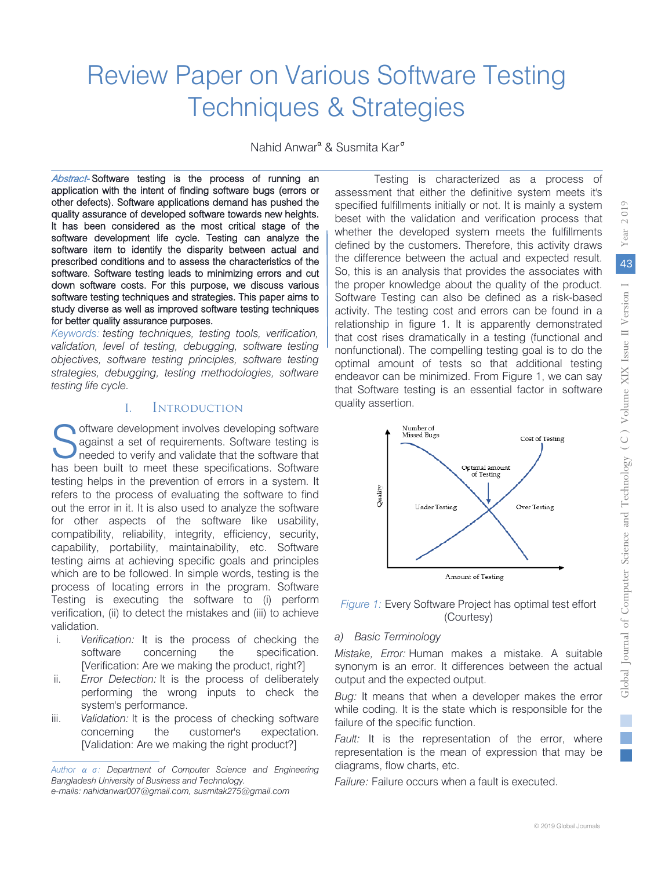# Review Paper on Various Software Testing Techniques & Strategies

Nahid Anwar<sup>α</sup> & Susmita Kar<sup>o</sup>

Abstract-Software testing is the process of running an application with the intent of finding software bugs (errors or other defects). Software applications demand has pushed the quality assurance of developed software towards new heights. It has been considered as the most critical stage of the software development life cycle. Testing can analyze the software item to identify the disparity between actual and prescribed conditions and to assess the characteristics of the software. Software testing leads to minimizing errors and cut down software costs. For this purpose, we discuss various software testing techniques and strategies. This paper aims to study diverse as well as improved software testing techniques for better quality assurance purposes.

*Keywords: testing techniques, testing tools, verification, validation, level of testing, debugging, software testing objectives, software testing principles, software testing strategies, debugging, testing methodologies, software testing life cycle.* 

#### I. Introduction

Oftware development involves developing software<br>against a set of requirements. Software testing is<br>needed to verify and validate that the software that against a set of requirements. Software testing is needed to verify and validate that the software that has been built to meet these specifications. Software testing helps in the prevention of errors in a system. It refers to the process of evaluating the software to find out the error in it. It is also used to analyze the software for other aspects of the software like usability, compatibility, reliability, integrity, efficiency, security, capability, portability, maintainability, etc. Software testing aims at achieving specific goals and principles which are to be followed. In simple words, testing is the process of locating errors in the program. Software Testing is executing the software to (i) perform verification, (ii) to detect the mistakes and (iii) to achieve validation.

- i. *Verification:* It is the process of checking the software concerning the specification. [Verification: Are we making the product, right?]
- ii. *Error Detection:* It is the process of deliberately performing the wrong inputs to check the system's performance.
- iii. *Validation:* It is the process of checking software concerning the customer's expectation. [Validation: Are we making the right product?]

Testing is characterized as a process of assessment that either the definitive system meets it's specified fulfillments initially or not. It is mainly a system beset with the validation and verification process that whether the developed system meets the fulfillments defined by the customers. Therefore, this activity draws the difference between the actual and expected result. So, this is an analysis that provides the associates with the proper knowledge about the quality of the product. Software Testing can also be defined as a risk-based activity. The testing cost and errors can be found in a relationship in figure 1. It is apparently demonstrated that cost rises dramatically in a testing (functional and nonfunctional). The compelling testing goal is to do the optimal amount of tests so that additional testing endeavor can be minimized. From Figure 1, we can say that Software testing is an essential factor in software quality assertion.



#### *Figure 1:* Every Software Project has optimal test effort (Courtesy)

#### *a) Basic Terminology*

*Mistake, Error:* Human makes a mistake. A suitable synonym is an error. It differences between the actual output and the expected output.

*Bug:* It means that when a developer makes the error while coding. It is the state which is responsible for the failure of the specific function.

*Fault:* It is the representation of the error, where representation is the mean of expression that may be diagrams, flow charts, etc.

*Failure:* Failure occurs when a fault is executed.

*Author α σ: Department of Computer Science and Engineering Bangladesh University of Business and Technology. e-mails: nahidanwar007@gmail.com, susmitak275@gmail.com*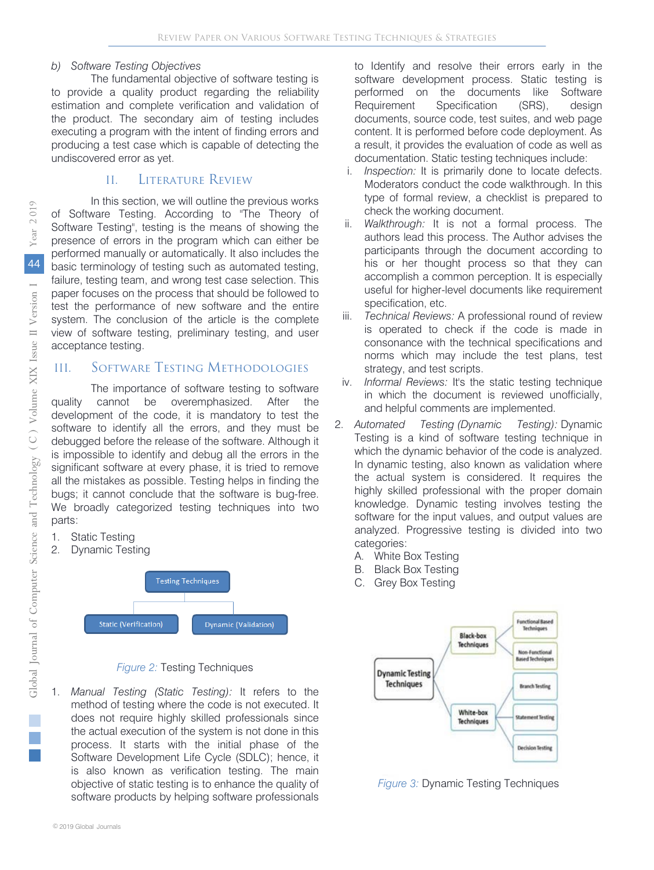#### *b) Software Testing Objectives*

The fundamental objective of software testing is to provide a quality product regarding the reliability estimation and complete verification and validation of the product. The secondary aim of testing includes executing a program with the intent of finding errors and producing a test case which is capable of detecting the undiscovered error as yet.

#### II. Literature Review

In this section, we will outline the previous works of Software Testing. According to "The Theory of Software Testing", testing is the means of showing the presence of errors in the program which can either be performed manually or automatically. It also includes the basic terminology of testing such as automated testing, failure, testing team, and wrong test case selection. This paper focuses on the process that should be followed to test the performance of new software and the entire system. The conclusion of the article is the complete view of software testing, preliminary testing, and user acceptance testing.

#### III. Software Testing Methodologies

The importance of software testing to software quality cannot be overemphasized. After the development of the code, it is mandatory to test the software to identify all the errors, and they must be debugged before the release of the software. Although it is impossible to identify and debug all the errors in the significant software at every phase, it is tried to remove all the mistakes as possible. Testing helps in finding the bugs; it cannot conclude that the software is bug-free. We broadly categorized testing techniques into two parts:

- 1. Static Testing
- 2. Dynamic Testing



#### *Figure 2:* Testing Techniques

1. *Manual Testing (Static Testing):* It refers to the method of testing where the code is not executed. It does not require highly skilled professionals since the actual execution of the system is not done in this process. It starts with the initial phase of the Software Development Life Cycle (SDLC); hence, it is also known as verification testing. The main objective of static testing is to enhance the quality of software products by helping software professionals

to Identify and resolve their errors early in the software development process. Static testing is performed on the documents like Software Requirement Specification (SRS), design documents, source code, test suites, and web page content. It is performed before code deployment. As a result, it provides the evaluation of code as well as documentation. Static testing techniques include:

- i. *Inspection:* It is primarily done to locate defects. Moderators conduct the code walkthrough. In this type of formal review, a checklist is prepared to check the working document.
- ii. *Walkthrough:* It is not a formal process. The authors lead this process. The Author advises the participants through the document according to his or her thought process so that they can accomplish a common perception. It is especially useful for higher-level documents like requirement specification, etc.
- iii. *Technical Reviews:* A professional round of review is operated to check if the code is made in consonance with the technical specifications and norms which may include the test plans, test strategy, and test scripts.
- iv. *Informal Reviews:* It's the static testing technique in which the document is reviewed unofficially, and helpful comments are implemented.
- 2. *Automated Testing (Dynamic Testing):* Dynamic Testing is a kind of software testing technique in which the dynamic behavior of the code is analyzed. In dynamic testing, also known as validation where the actual system is considered. It requires the highly skilled professional with the proper domain knowledge. Dynamic testing involves testing the software for the input values, and output values are analyzed. Progressive testing is divided into two categories:
	- A. White Box Testing
	- B. Black Box Testing
	- C. Grey Box Testing



*Figure 3:* Dynamic Testing Techniques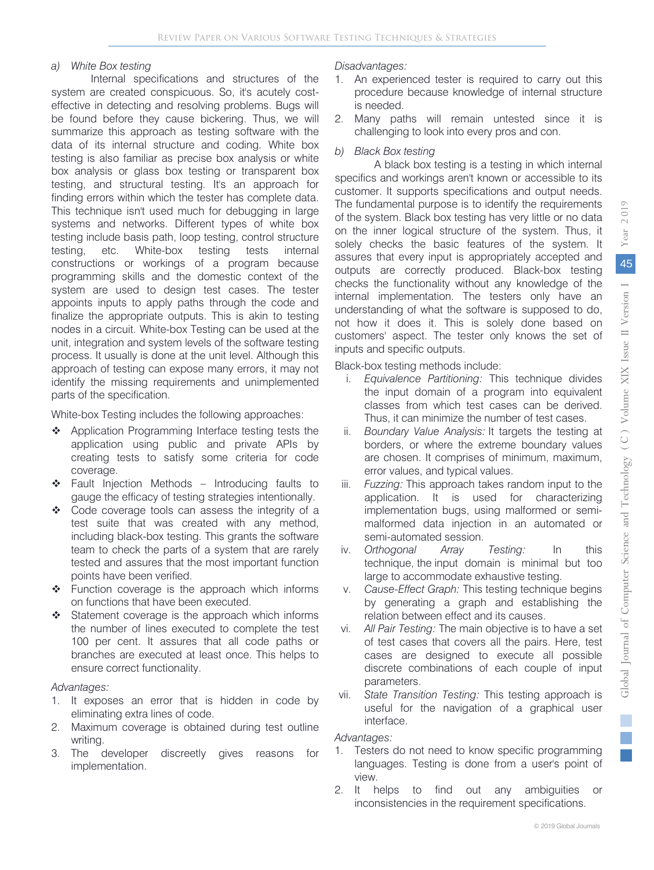#### *a) White Box testing*

Internal specifications and structures of the system are created conspicuous. So, it's acutely costeffective in detecting and resolving problems. Bugs will be found before they cause bickering. Thus, we will summarize this approach as testing software with the data of its internal structure and coding. White box testing is also familiar as precise box analysis or white box analysis or glass box testing or transparent box testing, and structural testing. It's an approach for finding errors within which the tester has complete data. This technique isn't used much for debugging in large systems and networks. Different types of white box testing include basis path, loop testing, control structure testing, etc. White-box testing tests internal constructions or workings of a program because programming skills and the domestic context of the system are used to design test cases. The tester appoints inputs to apply paths through the code and finalize the appropriate outputs. This is akin to testing nodes in a circuit. White-box Testing can be used at the unit, integration and system levels of the software testing process. It usually is done at the unit level. Although this approach of testing can expose many errors, it may not identify the missing requirements and unimplemented parts of the specification.

White-box Testing includes the following approaches:

- ❖ Application Programming Interface testing tests the application using public and private APIs by creating tests to satisfy some criteria for code coverage.
- Fault Injection Methods Introducing faults to gauge the efficacy of testing strategies intentionally.
- Code coverage tools can assess the integrity of a test suite that was created with any method, including black-box testing. This grants the software team to check the parts of a system that are rarely tested and assures that the most important function points have been verified.
- Function coverage is the approach which informs on functions that have been executed.
- Statement coverage is the approach which informs the number of lines executed to complete the test 100 per cent. It assures that all code paths or branches are executed at least once. This helps to ensure correct functionality.

#### *Advantages:*

- 1. It exposes an error that is hidden in code by eliminating extra lines of code.
- 2. Maximum coverage is obtained during test outline writing.
- 3. The developer discreetly gives reasons for implementation.

#### *Disadvantages:*

- 1. An experienced tester is required to carry out this procedure because knowledge of internal structure is needed.
- 2. Many paths will remain untested since it is challenging to look into every pros and con.

#### *b) Black Box testing*

A black box testing is a testing in which internal specifics and workings aren't known or accessible to its customer. It supports specifications and output needs. The fundamental purpose is to identify the requirements of the system. Black box testing has very little or no data on the inner logical structure of the system. Thus, it solely checks the basic features of the system. It assures that every input is appropriately accepted and outputs are correctly produced. Black-box testing checks the functionality without any knowledge of the internal implementation. The testers only have an understanding of what the software is supposed to do, not how it does it. This is solely done based on customers' aspect. The tester only knows the set of inputs and specific outputs.

Black-box testing methods include:

- i. *Equivalence Partitioning:* This technique divides the input domain of a program into equivalent classes from which test cases can be derived. Thus, it can minimize the number of test cases.
- ii. *Boundary Value Analysis:* It targets the testing at borders, or where the extreme boundary values are chosen. It comprises of minimum, maximum, error values, and typical values.
- iii. *Fuzzing:* This approach takes random input to the application. It is used for characterizing implementation bugs, using malformed or semimalformed data injection in an automated or semi-automated session.
- iv. *Orthogonal Array Testing:* In this technique, the input domain is minimal but too large to accommodate exhaustive testing.
- v. *Cause-Effect Graph:* This testing technique begins by generating a graph and establishing the relation between effect and its causes.
- vi. *All Pair Testing:* The main objective is to have a set of test cases that covers all the pairs. Here, test cases are designed to execute all possible discrete combinations of each couple of input parameters.
- vii. *State Transition Testing:* This testing approach is useful for the navigation of a graphical user interface.

#### *Advantages:*

- 1. Testers do not need to know specific programming languages. Testing is done from a user's point of view.
- 2. It helps to find out any ambiguities or inconsistencies in the requirement specifications.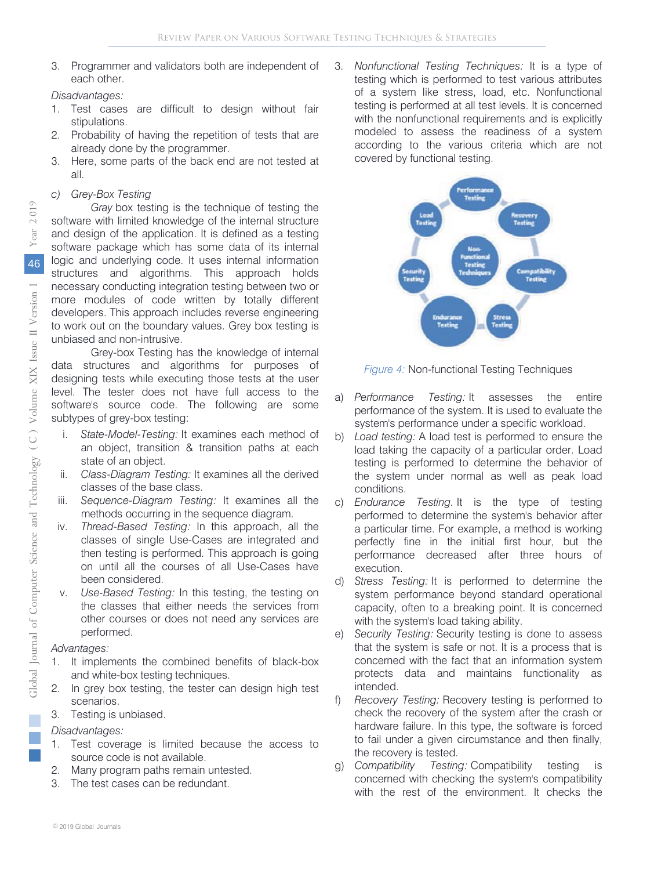3. Programmer and validators both are independent of each other.

*Disadvantages:*

- 1. Test cases are difficult to design without fair stipulations.
- 2. Probability of having the repetition of tests that are already done by the programmer.
- 3. Here, some parts of the back end are not tested at all.

#### *c) Grey-Box Testing*

*Gray* box testing is the technique of testing the software with limited knowledge of the internal structure and design of the application. It is defined as a testing software package which has some data of its internal logic and underlying code. It uses internal information structures and algorithms. This approach holds necessary conducting integration testing between two or more modules of code written by totally different developers. This approach includes reverse engineering to work out on the boundary values. Grey box testing is unbiased and non-intrusive.

Grey-box Testing has the knowledge of internal data structures and algorithms for purposes of designing tests while executing those tests at the user level. The tester does not have full access to the software's source code. The following are some subtypes of grey-box testing:

- i. *State-Model-Testing:* It examines each method of an object, transition & transition paths at each state of an object.
- ii. *Class-Diagram Testing:* It examines all the derived classes of the base class.
- iii. *Sequence-Diagram Testing:* It examines all the methods occurring in the sequence diagram.
- iv. *Thread-Based Testing:* In this approach, all the classes of single Use-Cases are integrated and then testing is performed. This approach is going on until all the courses of all Use-Cases have been considered.
- v. *Use-Based Testing:* In this testing, the testing on the classes that either needs the services from other courses or does not need any services are performed.

#### *Advantages:*

- 1. It implements the combined benefits of black-box and white-box testing techniques.
- 2. In grey box testing, the tester can design high test scenarios.
- 3. Testing is unbiased.

#### *Disadvantages:*

- 1. Test coverage is limited because the access to source code is not available.
- 2. Many program paths remain untested.
- 3. The test cases can be redundant.

3. *Nonfunctional Testing Techniques:* It is a type of testing which is performed to test various attributes of a system like stress, load, etc. Nonfunctional testing is performed at all test levels. It is concerned with the nonfunctional requirements and is explicitly modeled to assess the readiness of a system according to the various criteria which are not covered by functional testing.



*Figure 4:* Non-functional Testing Techniques

- a) *Performance Testing:* It assesses the entire performance of the system. It is used to evaluate the system's performance under a specific workload.
- b) *Load testing:* A load test is performed to ensure the load taking the capacity of a particular order. Load testing is performed to determine the behavior of the system under normal as well as peak load conditions.
- c) *Endurance Testing.* It is the type of testing performed to determine the system's behavior after a particular time. For example, a method is working perfectly fine in the initial first hour, but the performance decreased after three hours of execution.
- d) *Stress Testing:* It is performed to determine the system performance beyond standard operational capacity, often to a breaking point. It is concerned with the system's load taking ability.
- e) *Security Testing:* Security testing is done to assess that the system is safe or not. It is a process that is concerned with the fact that an information system protects data and maintains functionality as intended.
- f) *Recovery Testing:* Recovery testing is performed to check the recovery of the system after the crash or hardware failure. In this type, the software is forced to fail under a given circumstance and then finally, the recovery is tested.
- g) *Compatibility Testing:* Compatibility testing is concerned with checking the system's compatibility with the rest of the environment. It checks the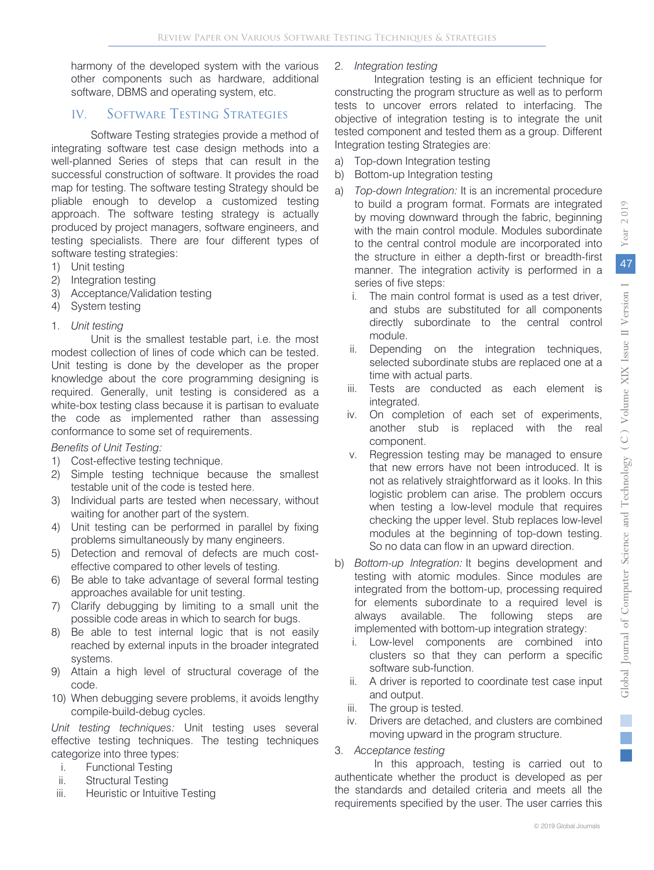harmony of the developed system with the various other components such as hardware, additional software, DBMS and operating system, etc.

#### IV. Software Testing Strategies

Software Testing strategies provide a method of integrating software test case design methods into a well-planned Series of steps that can result in the successful construction of software. It provides the road map for testing. The software testing Strategy should be pliable enough to develop a customized testing approach. The software testing strategy is actually produced by project managers, software engineers, and testing specialists. There are four different types of software testing strategies:

- 1) Unit testing
- 2) Integration testing
- 3) Acceptance/Validation testing
- 4) System testing
- 1. *Unit testing*

Unit is the smallest testable part, i.e. the most modest collection of lines of code which can be tested. Unit testing is done by the developer as the proper knowledge about the core programming designing is required. Generally, unit testing is considered as a white-box testing class because it is partisan to evaluate the code as implemented rather than assessing conformance to some set of requirements.

#### *Benefits of Unit Testing:*

- 1) Cost-effective testing technique.
- 2) Simple testing technique because the smallest testable unit of the code is tested here.
- 3) Individual parts are tested when necessary, without waiting for another part of the system.
- 4) Unit testing can be performed in parallel by fixing problems simultaneously by many engineers.
- 5) Detection and removal of defects are much costeffective compared to other levels of testing.
- 6) Be able to take advantage of several formal testing approaches available for unit testing.
- 7) Clarify debugging by limiting to a small unit the possible code areas in which to search for bugs.
- 8) Be able to test internal logic that is not easily reached by external inputs in the broader integrated systems.
- 9) Attain a high level of structural coverage of the code.
- 10) When debugging severe problems, it avoids lengthy compile-build-debug cycles.

*Unit testing techniques:* Unit testing uses several effective testing techniques. The testing techniques categorize into three types:

- i. Functional Testing
- ii. Structural Testing
- iii. Heuristic or Intuitive Testing

#### 2. *Integration testing*

Integration testing is an efficient technique for constructing the program structure as well as to perform tests to uncover errors related to interfacing. The objective of integration testing is to integrate the unit tested component and tested them as a group. Different Integration testing Strategies are:

- a) Top-down Integration testing
- b) Bottom-up Integration testing
- a) *Top-down Integration:* It is an incremental procedure to build a program format. Formats are integrated by moving downward through the fabric, beginning with the main control module. Modules subordinate to the central control module are incorporated into the structure in either a depth-first or breadth-first manner. The integration activity is performed in a series of five steps:
	- i. The main control format is used as a test driver, and stubs are substituted for all components directly subordinate to the central control module.
	- ii. Depending on the integration techniques, selected subordinate stubs are replaced one at a time with actual parts.
	- iii. Tests are conducted as each element is integrated.
	- iv. On completion of each set of experiments, another stub is replaced with the real component.
	- v. Regression testing may be managed to ensure that new errors have not been introduced. It is not as relatively straightforward as it looks. In this logistic problem can arise. The problem occurs when testing a low-level module that requires checking the upper level. Stub replaces low-level modules at the beginning of top-down testing. So no data can flow in an upward direction.
- b) *Bottom-up Integration:* It begins development and testing with atomic modules. Since modules are integrated from the bottom-up, processing required for elements subordinate to a required level is always available. The following steps are implemented with bottom-up integration strategy:
	- i. Low-level components are combined into clusters so that they can perform a specific software sub-function.
	- ii. A driver is reported to coordinate test case input and output.
	- iii. The group is tested.
	- iv. Drivers are detached, and clusters are combined moving upward in the program structure.
- 3. *Acceptance testing*

In this approach, testing is carried out to authenticate whether the product is developed as per the standards and detailed criteria and meets all the requirements specified by the user. The user carries this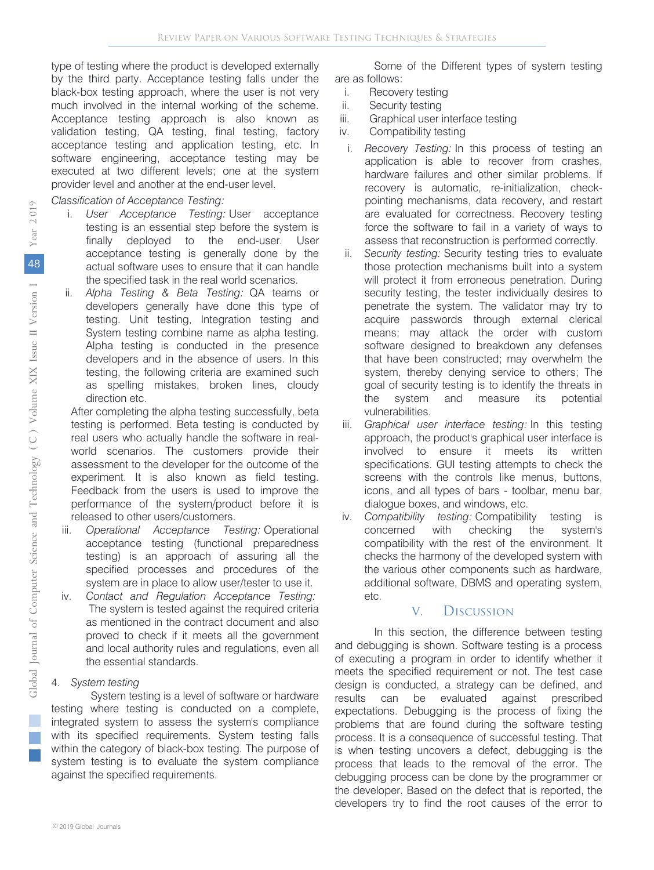type of testing where the product is developed externally by the third party. Acceptance testing falls under the black-box testing approach, where the user is not very much involved in the internal working of the scheme. Acceptance testing approach is also known as validation testing, QA testing, final testing, factory acceptance testing and application testing, etc. In software engineering, acceptance testing may be executed at two different levels; one at the system provider level and another at the end-user level.

#### *Classification of Acceptance Testing:*

- i. *User Acceptance Testing:* User acceptance testing is an essential step before the system is finally deployed to the end-user. User acceptance testing is generally done by the actual software uses to ensure that it can handle the specified task in the real world scenarios.
- ii. *Alpha Testing & Beta Testing:* QA teams or developers generally have done this type of testing. Unit testing, Integration testing and System testing combine name as alpha testing. Alpha testing is conducted in the presence developers and in the absence of users. In this testing, the following criteria are examined such as spelling mistakes, broken lines, cloudy direction etc.

After completing the alpha testing successfully, beta testing is performed. Beta testing is conducted by real users who actually handle the software in realworld scenarios. The customers provide their assessment to the developer for the outcome of the experiment. It is also known as field testing. Feedback from the users is used to improve the performance of the system/product before it is released to other users/customers.

- iii. *Operational Acceptance Testing:* Operational acceptance testing (functional preparedness testing) is an approach of assuring all the specified processes and procedures of the system are in place to allow user/tester to use it.
- iv. *Contact and Regulation Acceptance Testing:* The system is tested against the required criteria as mentioned in the contract document and also proved to check if it meets all the government and local authority rules and regulations, even all the essential standards.

#### 4. *System testing*

System testing is a level of software or hardware testing where testing is conducted on a complete, integrated system to assess the system's compliance with its specified requirements. System testing falls within the category of black-box testing. The purpose of system testing is to evaluate the system compliance against the specified requirements.

Some of the Different types of system testing are as follows:

- i. Recovery testing
- ii. Security testing
- iii. Graphical user interface testing
- iv. Compatibility testing
- i. *Recovery Testing:* In this process of testing an application is able to recover from crashes, hardware failures and other similar problems. If recovery is automatic, re-initialization, checkpointing mechanisms, data recovery, and restart are evaluated for correctness. Recovery testing force the software to fail in a variety of ways to assess that reconstruction is performed correctly.
- ii. *Security testing:* Security testing tries to evaluate those protection mechanisms built into a system will protect it from erroneous penetration. During security testing, the tester individually desires to penetrate the system. The validator may try to acquire passwords through external clerical means; may attack the order with custom software designed to breakdown any defenses that have been constructed; may overwhelm the system, thereby denying service to others; The goal of security testing is to identify the threats in the system and measure its potential vulnerabilities.
- iii. *Graphical user interface testing:* In this testing approach, the product's graphical user interface is involved to ensure it meets its written specifications. GUI testing attempts to check the screens with the controls like menus, buttons, icons, and all types of bars - toolbar, menu bar, dialogue boxes, and windows, etc.
- iv. *Compatibility testing:* Compatibility testing is concerned with checking the system's compatibility with the rest of the environment. It checks the harmony of the developed system with the various other components such as hardware, additional software, DBMS and operating system, etc.

#### V. Discussion

In this section, the difference between testing and debugging is shown. Software testing is a process of executing a program in order to identify whether it meets the specified requirement or not. The test case design is conducted, a strategy can be defined, and results can be evaluated against prescribed expectations. Debugging is the process of fixing the problems that are found during the software testing process. It is a consequence of successful testing. That is when testing uncovers a defect, debugging is the process that leads to the removal of the error. The debugging process can be done by the programmer or the developer. Based on the defect that is reported, the developers try to find the root causes of the error to